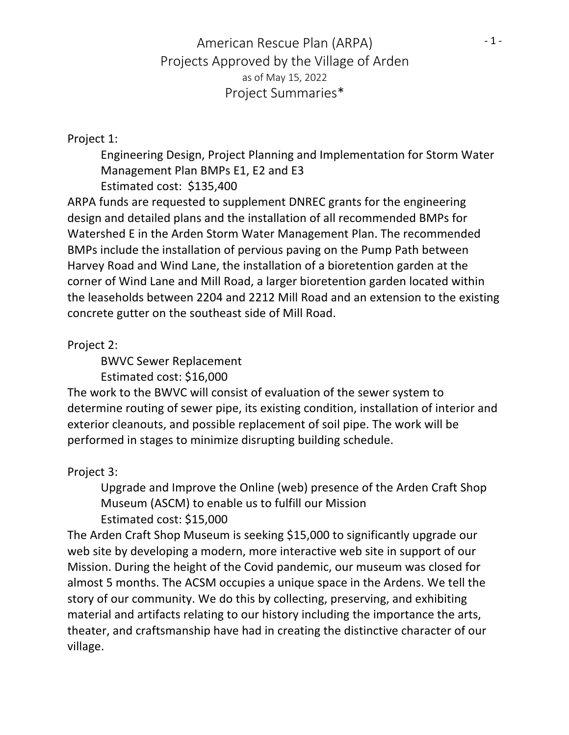## American Rescue Plan (ARPA) Projects Approved by the Village of Arden as of May 15, 2022 Project Summaries\*

## Project 1:

Engineering Design, Project Planning and Implementation for Storm Water Management Plan BMPs E1, E2 and E3 Estimated cost: \$135,400

ARPA funds are requested to supplement DNREC grants for the engineering design and detailed plans and the installation of all recommended BMPs for Watershed E in the Arden Storm Water Management Plan. The recommended BMPs include the installation of pervious paving on the Pump Path between Harvey Road and Wind Lane, the installation of a bioretention garden at the corner of Wind Lane and Mill Road, a larger bioretention garden located within the leaseholds between 2204 and 2212 Mill Road and an extension to the existing concrete gutter on the southeast side of Mill Road.

Project 2:

BWVC Sewer Replacement

Estimated cost: \$16,000

The work to the BWVC will consist of evaluation of the sewer system to determine routing of sewer pipe, its existing condition, installation of interior and exterior cleanouts, and possible replacement of soil pipe. The work will be performed in stages to minimize disrupting building schedule.

Project 3:

Upgrade and Improve the Online (web) presence of the Arden Craft Shop Museum (ASCM) to enable us to fulfill our Mission Estimated cost: \$15,000

The Arden Craft Shop Museum is seeking \$15,000 to significantly upgrade our web site by developing a modern, more interactive web site in support of our Mission. During the height of the Covid pandemic, our museum was closed for almost 5 months. The ACSM occupies a unique space in the Ardens. We tell the story of our community. We do this by collecting, preserving, and exhibiting material and artifacts relating to our history including the importance the arts, theater, and craftsmanship have had in creating the distinctive character of our village.